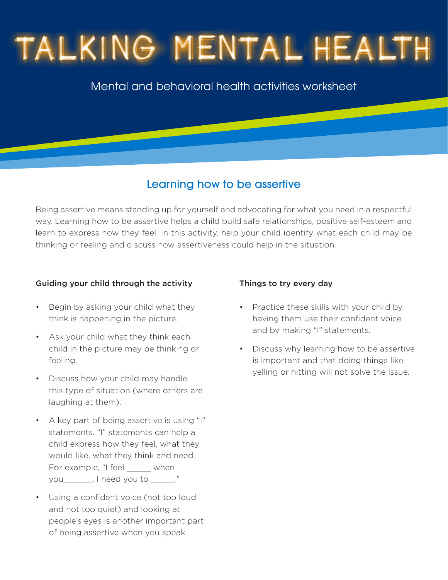# TALKING MENTAL HEALT

## Mental and behavioral health activities worksheet

## Learning how to be assertive

Being assertive means standing up for yourself and advocating for what you need in a respectful way. Learning how to be assertive helps a child build safe relationships, positive self-esteem and learn to express how they feel. In this activity, help your child identify what each child may be thinking or feeling and discuss how assertiveness could help in the situation.

#### Guiding your child through the activity

- Begin by asking your child what they think is happening in the picture.
- Ask your child what they think each child in the picture may be thinking or feeling.
- Discuss how your child may handle this type of situation (where others are laughing at them).
- A key part of being assertive is using "I" statements. "I" statements can help a child express how they feel, what they would like, what they think and need. For example, "I feel \_\_\_\_\_\_ when you lneed you to  $\therefore$ "
- Using a confident voice (not too loud and not too quiet) and looking at people's eyes is another important part of being assertive when you speak.

#### Things to try every day

- Practice these skills with your child by having them use their confident voice and by making "I" statements.
- Discuss why learning how to be assertive is important and that doing things like yelling or hitting will not solve the issue.